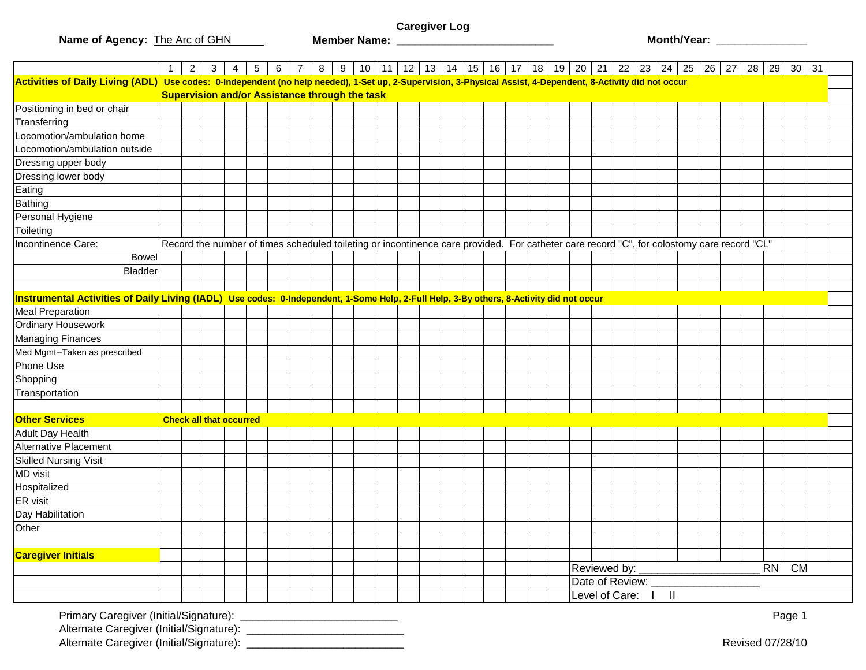**Name of Agency:** The Arc of GHN

**Caregiver Log**

**Member Name: \_\_\_\_\_\_\_\_\_\_\_\_\_\_\_\_\_\_\_\_\_\_\_\_\_\_ Month/Year: \_\_\_\_\_\_\_\_\_\_\_\_\_\_\_**

|                                                                                                                                                               | 1                              | $2 \mid$ | $\mathbf{3}$ | $4 \mid 5$ |  |                                                       |  |  |  |  | $6$   7   8   9   10   11   12   13   14   15   16   17   18   19   20   21   22   23   24   25   26   27                                  |                  |                  |                         |  |                  | 28   29 | $30 \mid 31$ |  |
|---------------------------------------------------------------------------------------------------------------------------------------------------------------|--------------------------------|----------|--------------|------------|--|-------------------------------------------------------|--|--|--|--|--------------------------------------------------------------------------------------------------------------------------------------------|------------------|------------------|-------------------------|--|------------------|---------|--------------|--|
| Activities of Daily Living (ADL) Use codes: 0-Independent (no help needed), 1-Set up, 2-Supervision, 3-Physical Assist, 4-Dependent, 8-Activity did not occur |                                |          |              |            |  |                                                       |  |  |  |  |                                                                                                                                            |                  |                  |                         |  |                  |         |              |  |
|                                                                                                                                                               |                                |          |              |            |  | <b>Supervision and/or Assistance through the task</b> |  |  |  |  |                                                                                                                                            |                  |                  |                         |  |                  |         |              |  |
| Positioning in bed or chair                                                                                                                                   |                                |          |              |            |  |                                                       |  |  |  |  |                                                                                                                                            |                  |                  |                         |  |                  |         |              |  |
| Transferring                                                                                                                                                  |                                |          |              |            |  |                                                       |  |  |  |  |                                                                                                                                            |                  |                  |                         |  |                  |         |              |  |
| Locomotion/ambulation home                                                                                                                                    |                                |          |              |            |  |                                                       |  |  |  |  |                                                                                                                                            |                  |                  |                         |  |                  |         |              |  |
| Locomotion/ambulation outside                                                                                                                                 |                                |          |              |            |  |                                                       |  |  |  |  |                                                                                                                                            |                  |                  |                         |  |                  |         |              |  |
| Dressing upper body                                                                                                                                           |                                |          |              |            |  |                                                       |  |  |  |  |                                                                                                                                            |                  |                  |                         |  |                  |         |              |  |
| Dressing lower body                                                                                                                                           |                                |          |              |            |  |                                                       |  |  |  |  |                                                                                                                                            |                  |                  |                         |  |                  |         |              |  |
| Eating                                                                                                                                                        |                                |          |              |            |  |                                                       |  |  |  |  |                                                                                                                                            |                  |                  |                         |  |                  |         |              |  |
| Bathing                                                                                                                                                       |                                |          |              |            |  |                                                       |  |  |  |  |                                                                                                                                            |                  |                  |                         |  |                  |         |              |  |
| Personal Hygiene                                                                                                                                              |                                |          |              |            |  |                                                       |  |  |  |  |                                                                                                                                            |                  |                  |                         |  |                  |         |              |  |
| Toileting                                                                                                                                                     |                                |          |              |            |  |                                                       |  |  |  |  |                                                                                                                                            |                  |                  |                         |  |                  |         |              |  |
| Incontinence Care:                                                                                                                                            |                                |          |              |            |  |                                                       |  |  |  |  | Record the number of times scheduled toileting or incontinence care provided. For catheter care record "C", for colostomy care record "CL" |                  |                  |                         |  |                  |         |              |  |
| <b>Bowel</b>                                                                                                                                                  |                                |          |              |            |  |                                                       |  |  |  |  |                                                                                                                                            |                  |                  |                         |  |                  |         |              |  |
| Bladder                                                                                                                                                       |                                |          |              |            |  |                                                       |  |  |  |  |                                                                                                                                            |                  |                  |                         |  |                  |         |              |  |
|                                                                                                                                                               |                                |          |              |            |  |                                                       |  |  |  |  |                                                                                                                                            |                  |                  |                         |  |                  |         |              |  |
| Instrumental Activities of Daily Living (IADL) Use codes: 0-Independent, 1-Some Help, 2-Full Help, 3-By others, 8-Activity did not occur                      |                                |          |              |            |  |                                                       |  |  |  |  |                                                                                                                                            |                  |                  |                         |  |                  |         |              |  |
| <b>Meal Preparation</b>                                                                                                                                       |                                |          |              |            |  |                                                       |  |  |  |  |                                                                                                                                            |                  |                  |                         |  |                  |         |              |  |
| Ordinary Housework                                                                                                                                            |                                |          |              |            |  |                                                       |  |  |  |  |                                                                                                                                            |                  |                  |                         |  |                  |         |              |  |
| <b>Managing Finances</b>                                                                                                                                      |                                |          |              |            |  |                                                       |  |  |  |  |                                                                                                                                            |                  |                  |                         |  |                  |         |              |  |
| Med Mgmt--Taken as prescribed                                                                                                                                 |                                |          |              |            |  |                                                       |  |  |  |  |                                                                                                                                            |                  |                  |                         |  |                  |         |              |  |
| Phone Use                                                                                                                                                     |                                |          |              |            |  |                                                       |  |  |  |  |                                                                                                                                            |                  |                  |                         |  |                  |         |              |  |
| Shopping                                                                                                                                                      |                                |          |              |            |  |                                                       |  |  |  |  |                                                                                                                                            |                  |                  |                         |  |                  |         |              |  |
| Transportation                                                                                                                                                |                                |          |              |            |  |                                                       |  |  |  |  |                                                                                                                                            |                  |                  |                         |  |                  |         |              |  |
|                                                                                                                                                               |                                |          |              |            |  |                                                       |  |  |  |  |                                                                                                                                            |                  |                  |                         |  |                  |         |              |  |
| <b>Other Services</b>                                                                                                                                         | <b>Check all that occurred</b> |          |              |            |  |                                                       |  |  |  |  |                                                                                                                                            |                  |                  |                         |  |                  |         |              |  |
| <b>Adult Day Health</b>                                                                                                                                       |                                |          |              |            |  |                                                       |  |  |  |  |                                                                                                                                            |                  |                  |                         |  |                  |         |              |  |
| <b>Alternative Placement</b>                                                                                                                                  |                                |          |              |            |  |                                                       |  |  |  |  |                                                                                                                                            |                  |                  |                         |  |                  |         |              |  |
| <b>Skilled Nursing Visit</b>                                                                                                                                  |                                |          |              |            |  |                                                       |  |  |  |  |                                                                                                                                            |                  |                  |                         |  |                  |         |              |  |
| MD visit                                                                                                                                                      |                                |          |              |            |  |                                                       |  |  |  |  |                                                                                                                                            |                  |                  |                         |  |                  |         |              |  |
| Hospitalized                                                                                                                                                  |                                |          |              |            |  |                                                       |  |  |  |  |                                                                                                                                            |                  |                  |                         |  |                  |         |              |  |
| ER visit                                                                                                                                                      |                                |          |              |            |  |                                                       |  |  |  |  |                                                                                                                                            |                  |                  |                         |  |                  |         |              |  |
| Day Habilitation                                                                                                                                              |                                |          |              |            |  |                                                       |  |  |  |  |                                                                                                                                            |                  |                  |                         |  |                  |         |              |  |
| Other                                                                                                                                                         |                                |          |              |            |  |                                                       |  |  |  |  |                                                                                                                                            |                  |                  |                         |  |                  |         |              |  |
|                                                                                                                                                               |                                |          |              |            |  |                                                       |  |  |  |  |                                                                                                                                            |                  |                  |                         |  |                  |         |              |  |
| <b>Caregiver Initials</b>                                                                                                                                     |                                |          |              |            |  |                                                       |  |  |  |  |                                                                                                                                            |                  |                  |                         |  |                  |         |              |  |
|                                                                                                                                                               |                                |          |              |            |  |                                                       |  |  |  |  |                                                                                                                                            |                  | Reviewed by: ___ |                         |  |                  | RN CM   |              |  |
|                                                                                                                                                               |                                |          |              |            |  |                                                       |  |  |  |  |                                                                                                                                            | Date of Review:  |                  |                         |  |                  |         |              |  |
|                                                                                                                                                               |                                |          |              |            |  |                                                       |  |  |  |  |                                                                                                                                            | Level of Care: I |                  | $\overline{\mathbb{I}}$ |  |                  |         |              |  |
|                                                                                                                                                               |                                |          |              |            |  |                                                       |  |  |  |  |                                                                                                                                            |                  |                  |                         |  |                  |         | Page 1       |  |
|                                                                                                                                                               |                                |          |              |            |  |                                                       |  |  |  |  |                                                                                                                                            |                  |                  |                         |  | Revised 07/28/10 |         |              |  |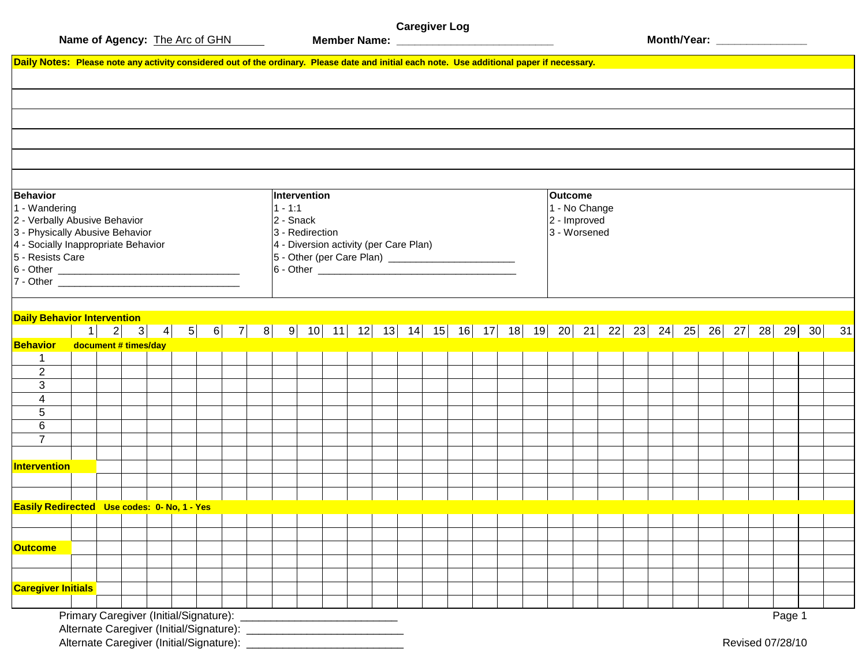**Caregiver Log**

**Member Name: \_\_\_\_\_\_\_\_\_\_\_\_\_\_\_\_\_\_\_\_\_\_\_\_\_\_ Month/Year: \_\_\_\_\_\_\_\_\_\_\_\_\_\_\_**

|                                                               |                      |  | Daily Notes: Please note any activity considered out of the ordinary. Please date and initial each note. Use additional paper if necessary. |  |  |                           |                 |  |                                        |  |  |  |  |  |  |  |                |               |  |  |  |  |  |
|---------------------------------------------------------------|----------------------|--|---------------------------------------------------------------------------------------------------------------------------------------------|--|--|---------------------------|-----------------|--|----------------------------------------|--|--|--|--|--|--|--|----------------|---------------|--|--|--|--|--|
|                                                               |                      |  |                                                                                                                                             |  |  |                           |                 |  |                                        |  |  |  |  |  |  |  |                |               |  |  |  |  |  |
|                                                               |                      |  |                                                                                                                                             |  |  |                           |                 |  |                                        |  |  |  |  |  |  |  |                |               |  |  |  |  |  |
|                                                               |                      |  |                                                                                                                                             |  |  |                           |                 |  |                                        |  |  |  |  |  |  |  |                |               |  |  |  |  |  |
|                                                               |                      |  |                                                                                                                                             |  |  |                           |                 |  |                                        |  |  |  |  |  |  |  |                |               |  |  |  |  |  |
|                                                               |                      |  |                                                                                                                                             |  |  |                           |                 |  |                                        |  |  |  |  |  |  |  |                |               |  |  |  |  |  |
| <b>Behavior</b>                                               |                      |  |                                                                                                                                             |  |  |                           |                 |  |                                        |  |  |  |  |  |  |  | <b>Outcome</b> |               |  |  |  |  |  |
| 1 - Wandering                                                 |                      |  |                                                                                                                                             |  |  | Intervention<br>$1 - 1:1$ |                 |  |                                        |  |  |  |  |  |  |  |                | 1 - No Change |  |  |  |  |  |
| 2 - Verbally Abusive Behavior                                 |                      |  |                                                                                                                                             |  |  | 2 - Snack                 |                 |  |                                        |  |  |  |  |  |  |  | 2 - Improved   |               |  |  |  |  |  |
| 3 - Physically Abusive Behavior                               |                      |  |                                                                                                                                             |  |  |                           | 3 - Redirection |  |                                        |  |  |  |  |  |  |  | 3 - Worsened   |               |  |  |  |  |  |
| 4 - Socially Inappropriate Behavior                           |                      |  |                                                                                                                                             |  |  |                           |                 |  | 4 - Diversion activity (per Care Plan) |  |  |  |  |  |  |  |                |               |  |  |  |  |  |
| 5 - Resists Care                                              |                      |  |                                                                                                                                             |  |  |                           |                 |  |                                        |  |  |  |  |  |  |  |                |               |  |  |  |  |  |
|                                                               |                      |  |                                                                                                                                             |  |  |                           |                 |  |                                        |  |  |  |  |  |  |  |                |               |  |  |  |  |  |
|                                                               |                      |  |                                                                                                                                             |  |  |                           |                 |  |                                        |  |  |  |  |  |  |  |                |               |  |  |  |  |  |
|                                                               |                      |  |                                                                                                                                             |  |  |                           |                 |  |                                        |  |  |  |  |  |  |  |                |               |  |  |  |  |  |
|                                                               |                      |  |                                                                                                                                             |  |  |                           |                 |  |                                        |  |  |  |  |  |  |  |                |               |  |  |  |  |  |
| <b>Daily Behavior Intervention</b>                            |                      |  |                                                                                                                                             |  |  |                           |                 |  |                                        |  |  |  |  |  |  |  |                |               |  |  |  |  |  |
|                                                               | $\overline{1}$       |  | 2 3 4 5 6 7 8 9 10 11 12 13 14 15 16 17 18 19 20 21 22 23 24 25 26 27 28 29 30 31                                                           |  |  |                           |                 |  |                                        |  |  |  |  |  |  |  |                |               |  |  |  |  |  |
| <b>Behavior</b>                                               | document # times/day |  |                                                                                                                                             |  |  |                           |                 |  |                                        |  |  |  |  |  |  |  |                |               |  |  |  |  |  |
|                                                               |                      |  |                                                                                                                                             |  |  |                           |                 |  |                                        |  |  |  |  |  |  |  |                |               |  |  |  |  |  |
|                                                               |                      |  |                                                                                                                                             |  |  |                           |                 |  |                                        |  |  |  |  |  |  |  |                |               |  |  |  |  |  |
| 1                                                             |                      |  |                                                                                                                                             |  |  |                           |                 |  |                                        |  |  |  |  |  |  |  |                |               |  |  |  |  |  |
| $\overline{2}$                                                |                      |  |                                                                                                                                             |  |  |                           |                 |  |                                        |  |  |  |  |  |  |  |                |               |  |  |  |  |  |
| 3                                                             |                      |  |                                                                                                                                             |  |  |                           |                 |  |                                        |  |  |  |  |  |  |  |                |               |  |  |  |  |  |
| 4                                                             |                      |  |                                                                                                                                             |  |  |                           |                 |  |                                        |  |  |  |  |  |  |  |                |               |  |  |  |  |  |
| 5                                                             |                      |  |                                                                                                                                             |  |  |                           |                 |  |                                        |  |  |  |  |  |  |  |                |               |  |  |  |  |  |
| 6                                                             |                      |  |                                                                                                                                             |  |  |                           |                 |  |                                        |  |  |  |  |  |  |  |                |               |  |  |  |  |  |
| $\overline{7}$                                                |                      |  |                                                                                                                                             |  |  |                           |                 |  |                                        |  |  |  |  |  |  |  |                |               |  |  |  |  |  |
|                                                               |                      |  |                                                                                                                                             |  |  |                           |                 |  |                                        |  |  |  |  |  |  |  |                |               |  |  |  |  |  |
|                                                               |                      |  |                                                                                                                                             |  |  |                           |                 |  |                                        |  |  |  |  |  |  |  |                |               |  |  |  |  |  |
|                                                               |                      |  |                                                                                                                                             |  |  |                           |                 |  |                                        |  |  |  |  |  |  |  |                |               |  |  |  |  |  |
| Intervention                                                  |                      |  |                                                                                                                                             |  |  |                           |                 |  |                                        |  |  |  |  |  |  |  |                |               |  |  |  |  |  |
|                                                               |                      |  |                                                                                                                                             |  |  |                           |                 |  |                                        |  |  |  |  |  |  |  |                |               |  |  |  |  |  |
|                                                               |                      |  |                                                                                                                                             |  |  |                           |                 |  |                                        |  |  |  |  |  |  |  |                |               |  |  |  |  |  |
|                                                               |                      |  |                                                                                                                                             |  |  |                           |                 |  |                                        |  |  |  |  |  |  |  |                |               |  |  |  |  |  |
|                                                               |                      |  |                                                                                                                                             |  |  |                           |                 |  |                                        |  |  |  |  |  |  |  |                |               |  |  |  |  |  |
|                                                               |                      |  |                                                                                                                                             |  |  |                           |                 |  |                                        |  |  |  |  |  |  |  |                |               |  |  |  |  |  |
|                                                               |                      |  |                                                                                                                                             |  |  |                           |                 |  |                                        |  |  |  |  |  |  |  |                |               |  |  |  |  |  |
| Easily Redirected Use codes: 0- No, 1 - Yes<br><b>Outcome</b> |                      |  |                                                                                                                                             |  |  |                           |                 |  |                                        |  |  |  |  |  |  |  |                |               |  |  |  |  |  |
| <b>Caregiver Initials</b>                                     |                      |  |                                                                                                                                             |  |  |                           |                 |  |                                        |  |  |  |  |  |  |  |                |               |  |  |  |  |  |